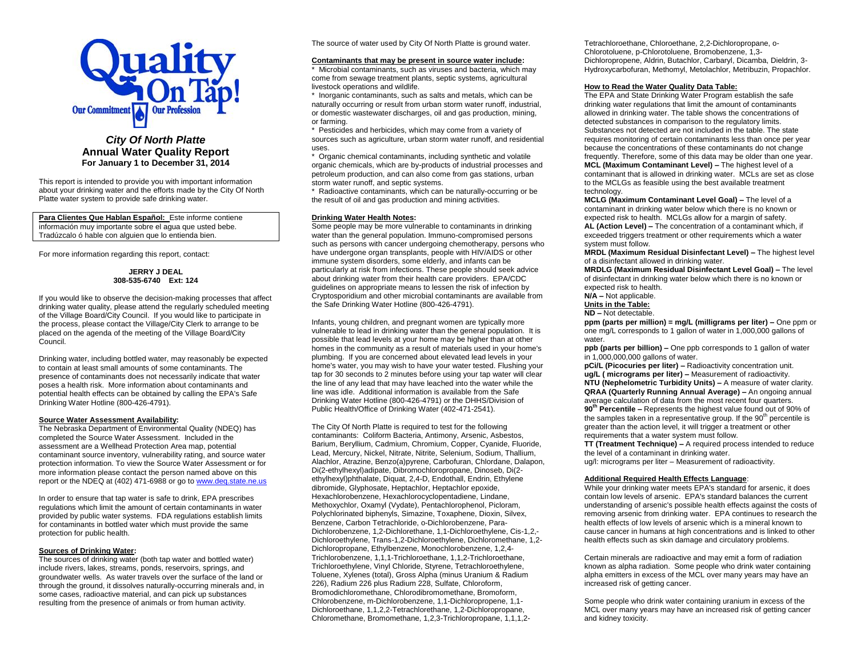

# *City Of North Platte* **Annual Water Quality Report For January 1 to December 31, 2014**

This report is intended to provide you with important information about your drinking water and the efforts made by the City Of North Platte water system to provide safe drinking water.

**Para Clientes Que Hablan Español:** Este informe contiene información muy importante sobre el agua que usted bebe. Tradúzcalo ó hable con alguien que lo entienda bien.

For more information regarding this report, contact:

#### **JERRY J DEAL 308-535-6740 Ext: 124**

If you would like to observe the decision-making processes that affect drinking water quality, please attend the regularly scheduled meeting of the Village Board/City Council. If you would like to participate in the process, please contact the Village/City Clerk to arrange to be placed on the agenda of the meeting of the Village Board/City Council.

Drinking water, including bottled water, may reasonably be expected to contain at least small amounts of some contaminants. The presence of contaminants does not necessarily indicate that water poses a health risk. More information about contaminants and potential health effects can be obtained by calling the EPA's Safe Drinking Water Hotline (800-426-4791).

#### **Source Water Assessment Availability:**

The Nebraska Department of Environmental Quality (NDEQ) has completed the Source Water Assessment. Included in the assessment are a Wellhead Protection Area map, potential contaminant source inventory, vulnerability rating, and source water protection information. To view the Source Water Assessment or for more information please contact the person named above on this report or the NDEQ at (402) 471-6988 or go t[o www.deq.state.ne.us](http://www.deq.state.ne.us/)

In order to ensure that tap water is safe to drink, EPA prescribes regulations which limit the amount of certain contaminants in water provided by public water systems. FDA regulations establish limits for contaminants in bottled water which must provide the same protection for public health.

### **Sources of Drinking Water:**

The sources of drinking water (both tap water and bottled water) include rivers, lakes, streams, ponds, reservoirs, springs, and groundwater wells. As water travels over the surface of the land or through the ground, it dissolves naturally-occurring minerals and, in some cases, radioactive material, and can pick up substances resulting from the presence of animals or from human activity.

The source of water used by City Of North Platte is ground water.

## **Contaminants that may be present in source water include:**

\* Microbial contaminants, such as viruses and bacteria, which may come from sewage treatment plants, septic systems, agricultural livestock operations and wildlife.

\* Inorganic contaminants, such as salts and metals, which can be naturally occurring or result from urban storm water runoff, industrial, or domestic wastewater discharges, oil and gas production, mining, or farming.

\* Pesticides and herbicides, which may come from a variety of sources such as agriculture, urban storm water runoff, and residential uses.

\* Organic chemical contaminants, including synthetic and volatile organic chemicals, which are by-products of industrial processes and petroleum production, and can also come from gas stations, urban storm water runoff, and septic systems.

\* Radioactive contaminants, which can be naturally-occurring or be the result of oil and gas production and mining activities.

#### **Drinking Water Health Notes:**

Some people may be more vulnerable to contaminants in drinking water than the general population. Immuno-compromised persons such as persons with cancer undergoing chemotherapy, persons who have undergone organ transplants, people with HIV/AIDS or other immune system disorders, some elderly, and infants can be particularly at risk from infections. These people should seek advice about drinking water from their health care providers. EPA/CDC guidelines on appropriate means to lessen the risk of infection by Cryptosporidium and other microbial contaminants are available from the Safe Drinking Water Hotline (800-426-4791).

Infants, young children, and pregnant women are typically more vulnerable to lead in drinking water than the general population. It is possible that lead levels at your home may be higher than at other homes in the community as a result of materials used in your home's plumbing. If you are concerned about elevated lead levels in your home's water, you may wish to have your water tested. Flushing your tap for 30 seconds to 2 minutes before using your tap water will clear the line of any lead that may have leached into the water while the line was idle. Additional information is available from the Safe Drinking Water Hotline (800-426-4791) or the DHHS/Division of Public Health/Office of Drinking Water (402-471-2541).

The City Of North Platte is required to test for the following contaminants: Coliform Bacteria, Antimony, Arsenic, Asbestos, Barium, Beryllium, Cadmium, Chromium, Copper, Cyanide, Fluoride, Lead, Mercury, Nickel, Nitrate, Nitrite, Selenium, Sodium, Thallium, Alachlor, Atrazine, Benzo(a)pyrene, Carbofuran, Chlordane, Dalapon, Di(2-ethylhexyl)adipate, Dibromochloropropane, Dinoseb, Di(2 ethylhexyl)phthalate, Diquat, 2,4-D, Endothall, Endrin, Ethylene dibromide, Glyphosate, Heptachlor, Heptachlor epoxide, Hexachlorobenzene, Hexachlorocyclopentadiene, Lindane, Methoxychlor, Oxamyl (Vydate), Pentachlorophenol, Picloram, Polychlorinated biphenyls, Simazine, Toxaphene, Dioxin, Silvex, Benzene, Carbon Tetrachloride, o-Dichlorobenzene, Para-Dichlorobenzene, 1,2-Dichlorethane, 1,1-Dichloroethylene, Cis-1,2,- Dichloroethylene, Trans-1,2-Dichloroethylene, Dichloromethane, 1,2- Dichloropropane, Ethylbenzene, Monochlorobenzene, 1,2,4- Trichlorobenzene, 1,1,1-Trichloroethane, 1,1,2-Trichloroethane, Trichloroethylene, Vinyl Chloride, Styrene, Tetrachloroethylene, Toluene, Xylenes (total), Gross Alpha (minus Uranium & Radium 226), Radium 226 plus Radium 228, Sulfate, Chloroform, Bromodichloromethane, Chlorodibromomethane, Bromoform, Chlorobenzene, m-Dichlorobenzene, 1,1-Dichloropropene, 1,1- Dichloroethane, 1,1,2,2-Tetrachlorethane, 1,2-Dichloropropane, Chloromethane, Bromomethane, 1,2,3-Trichloropropane, 1,1,1,2Tetrachloroethane, Chloroethane, 2,2-Dichloropropane, o-Chlorotoluene, p-Chlorotoluene, Bromobenzene, 1,3- Dichloropropene, Aldrin, Butachlor, Carbaryl, Dicamba, Dieldrin, 3- Hydroxycarbofuran, Methomyl, Metolachlor, Metribuzin, Propachlor.

#### **How to Read the Water Quality Data Table:**

The EPA and State Drinking Water Program establish the safe drinking water regulations that limit the amount of contaminants allowed in drinking water. The table shows the concentrations of detected substances in comparison to the regulatory limits. Substances not detected are not included in the table. The state requires monitoring of certain contaminants less than once per year because the concentrations of these contaminants do not change frequently. Therefore, some of this data may be older than one year. **MCL (Maximum Contaminant Level) –** The highest level of a contaminant that is allowed in drinking water. MCLs are set as close to the MCLGs as feasible using the best available treatment technology.

**MCLG (Maximum Contaminant Level Goal) –** The level of a contaminant in drinking water below which there is no known or expected risk to health. MCLGs allow for a margin of safety. **AL (Action Level) –** The concentration of a contaminant which, if exceeded triggers treatment or other requirements which a water system must follow.

**MRDL (Maximum Residual Disinfectant Level) –** The highest level of a disinfectant allowed in drinking water.

**MRDLG (Maximum Residual Disinfectant Level Goal) –** The level of disinfectant in drinking water below which there is no known or expected risk to health.

**N/A –** Not applicable.

## **Units in the Table:**

**ND –** Not detectable.

**ppm (parts per million) = mg/L (milligrams per liter) –** One ppm or one mg/L corresponds to 1 gallon of water in 1,000,000 gallons of water.

**ppb (parts per billion) –** One ppb corresponds to 1 gallon of water in 1,000,000,000 gallons of water.

**pCi/L (Picocuries per liter) –** Radioactivity concentration unit. **ug/L ( micrograms per liter) –** Measurement of radioactivity. **NTU (Nephelometric Turbidity Units) –** A measure of water clarity. **QRAA (Quarterly Running Annual Average) –** An ongoing annual average calculation of data from the most recent four quarters. **90th Percentile –** Represents the highest value found out of 90% of the samples taken in a representative group. If the  $90<sup>th</sup>$  percentile is greater than the action level, it will trigger a treatment or other requirements that a water system must follow.

**TT (Treatment Technique) –** A required process intended to reduce the level of a contaminant in drinking water.

ug/l: micrograms per liter – Measurement of radioactivity.

#### **Additional Required Health Effects Language**:

While your drinking water meets EPA's standard for arsenic, it does contain low levels of arsenic. EPA's standard balances the current understanding of arsenic's possible health effects against the costs of removing arsenic from drinking water. EPA continues to research the health effects of low levels of arsenic which is a mineral known to cause cancer in humans at high concentrations and is linked to other health effects such as skin damage and circulatory problems.

Certain minerals are radioactive and may emit a form of radiation known as alpha radiation. Some people who drink water containing alpha emitters in excess of the MCL over many years may have an increased risk of getting cancer.

Some people who drink water containing uranium in excess of the MCL over many years may have an increased risk of getting cancer and kidney toxicity.